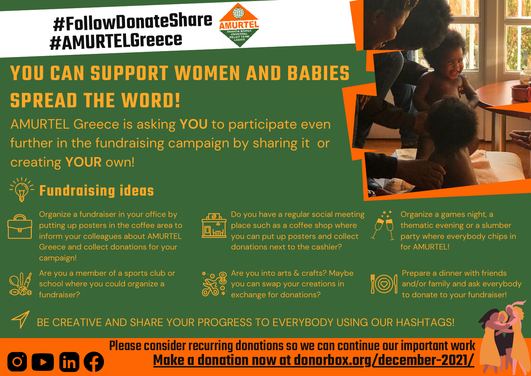### **#FollowDonateShare #AMURTELGreece**



# **YOU CAN SUPPORT WOMEN AND BABIES SPREAD THE WORD!**

AMURTEL Greece is asking **YOU** to participate even further in the fundraising campaign by sharing it or creating **YOUR** own!



### **Fundraising ideas**



Organize a fundraiser in your office by putting up posters in the coffee area to inform your colleagues about AMURTEL Greece and collect donations for your campaign!



 $\overline{\text{O}}$   $\overline{\text{D}}$   $\overline{\text{in}}$ 

Are you a member of a sports club or school where you could organize a fundraiser?



Do you have a regular social meeting place such as a coffee shop where you can put up posters and collect donations next to the cashier?



Are you into arts & crafts? Maybe you can swap your creations in exchange for donations?



Organize a games night, a thematic evening or a slumber party where everybody chips in for AMURTEL!



Prepare a dinner with friends and/or family and ask everybody to donate to your fundraiser!

#### BE CREATIVE AND SHARE YOUR PROGRESS TO EVERYBODY USING OUR HASHTAGS!

**Make a donation now at [donorbox.org/december-2021/](https://donorbox.org/december-2021)** Please consider recurring donations so we can continue our important work